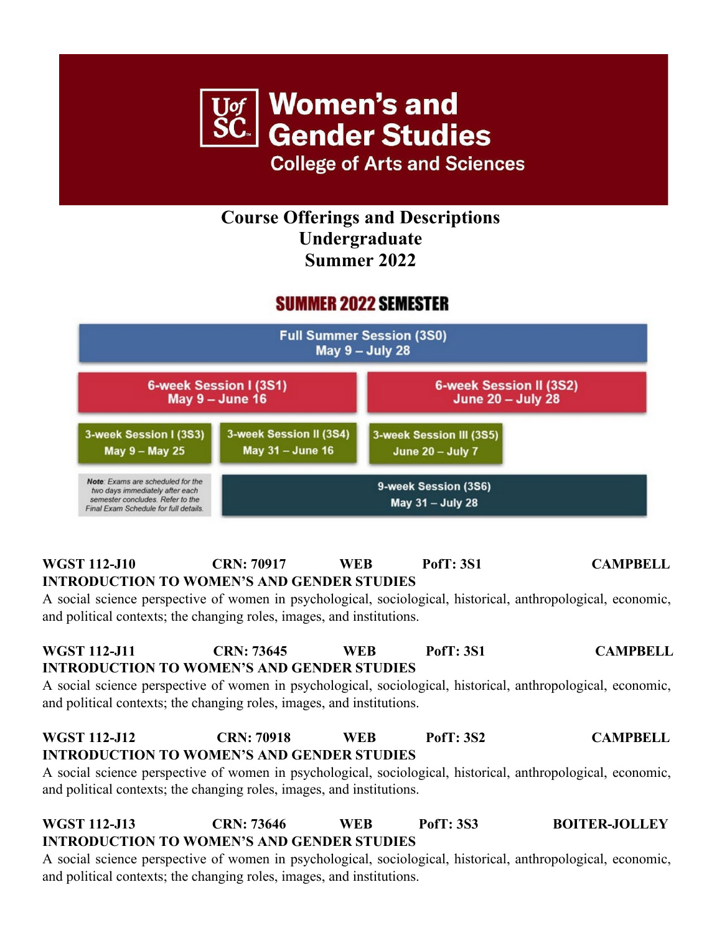

**College of Arts and Sciences** 

### **Course Offerings and Descriptions Undergraduate Summer 2022**

# **SUMMER 2022 SEMESTER**



#### **WGST 112-J10 CRN: 70917 WEB PofT: 3S1 CAMPBELL INTRODUCTION TO WOMEN'S AND GENDER STUDIES**

A social science perspective of women in psychological, sociological, historical, anthropological, economic, and political contexts; the changing roles, images, and institutions.

### **WGST 112-J11 CRN: 73645 WEB PofT: 3S1 CAMPBELL INTRODUCTION TO WOMEN'S AND GENDER STUDIES**

A social science perspective of women in psychological, sociological, historical, anthropological, economic, and political contexts; the changing roles, images, and institutions.

#### **WGST 112-J12 CRN: 70918 WEB PofT: 3S2 CAMPBELL INTRODUCTION TO WOMEN'S AND GENDER STUDIES**

A social science perspective of women in psychological, sociological, historical, anthropological, economic, and political contexts; the changing roles, images, and institutions.

#### **WGST 112-J13 CRN: 73646 WEB PofT: 3S3 BOITER-JOLLEY INTRODUCTION TO WOMEN'S AND GENDER STUDIES**

A social science perspective of women in psychological, sociological, historical, anthropological, economic, and political contexts; the changing roles, images, and institutions.